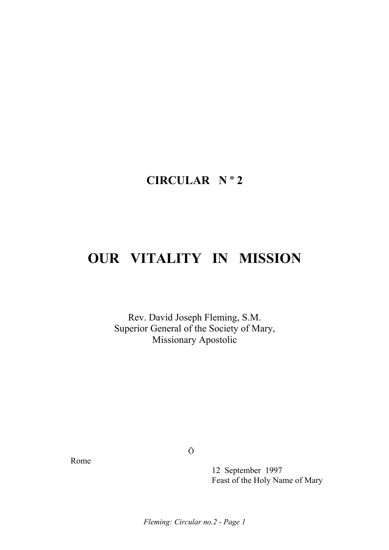## **CIRCULAR N º 2**

# **OUR VITALITY IN MISSION**

Rev. David Joseph Fleming, S.M. Superior General of the Society of Mary, Missionary Apostolic

Rome

Ö

 12 September 1997 Feast of the Holy Name of Mary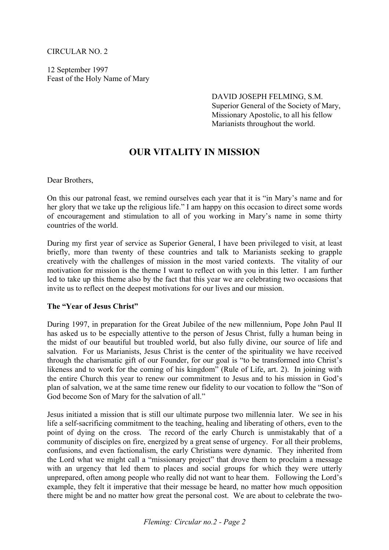#### CIRCULAR NO. 2

12 September 1997 Feast of the Holy Name of Mary

> DAVID JOSEPH FELMING, S.M. Superior General of the Society of Mary, Missionary Apostolic, to all his fellow Marianists throughout the world.

### **OUR VITALITY IN MISSION**

Dear Brothers,

On this our patronal feast, we remind ourselves each year that it is "in Mary's name and for her glory that we take up the religious life." I am happy on this occasion to direct some words of encouragement and stimulation to all of you working in Mary's name in some thirty countries of the world.

During my first year of service as Superior General, I have been privileged to visit, at least briefly, more than twenty of these countries and talk to Marianists seeking to grapple creatively with the challenges of mission in the most varied contexts. The vitality of our motivation for mission is the theme I want to reflect on with you in this letter. I am further led to take up this theme also by the fact that this year we are celebrating two occasions that invite us to reflect on the deepest motivations for our lives and our mission.

#### **The "Year of Jesus Christ"**

During 1997, in preparation for the Great Jubilee of the new millennium, Pope John Paul II has asked us to be especially attentive to the person of Jesus Christ, fully a human being in the midst of our beautiful but troubled world, but also fully divine, our source of life and salvation. For us Marianists, Jesus Christ is the center of the spirituality we have received through the charismatic gift of our Founder, for our goal is "to be transformed into Christ's likeness and to work for the coming of his kingdom" (Rule of Life, art. 2). In joining with the entire Church this year to renew our commitment to Jesus and to his mission in God's plan of salvation, we at the same time renew our fidelity to our vocation to follow the "Son of God become Son of Mary for the salvation of all."

Jesus initiated a mission that is still our ultimate purpose two millennia later. We see in his life a self-sacrificing commitment to the teaching, healing and liberating of others, even to the point of dying on the cross. The record of the early Church is unmistakably that of a community of disciples on fire, energized by a great sense of urgency. For all their problems, confusions, and even factionalism, the early Christians were dynamic. They inherited from the Lord what we might call a "missionary project" that drove them to proclaim a message with an urgency that led them to places and social groups for which they were utterly unprepared, often among people who really did not want to hear them. Following the Lord's example, they felt it imperative that their message be heard, no matter how much opposition there might be and no matter how great the personal cost. We are about to celebrate the two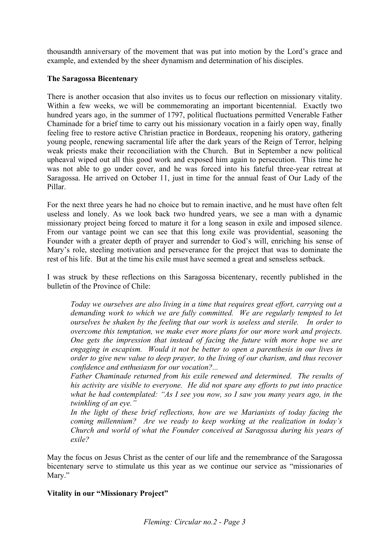thousandth anniversary of the movement that was put into motion by the Lord's grace and example, and extended by the sheer dynamism and determination of his disciples.

#### **The Saragossa Bicentenary**

There is another occasion that also invites us to focus our reflection on missionary vitality. Within a few weeks, we will be commemorating an important bicentennial. Exactly two hundred years ago, in the summer of 1797, political fluctuations permitted Venerable Father Chaminade for a brief time to carry out his missionary vocation in a fairly open way, finally feeling free to restore active Christian practice in Bordeaux, reopening his oratory, gathering young people, renewing sacramental life after the dark years of the Reign of Terror, helping weak priests make their reconciliation with the Church. But in September a new political upheaval wiped out all this good work and exposed him again to persecution. This time he was not able to go under cover, and he was forced into his fateful three-year retreat at Saragossa. He arrived on October 11, just in time for the annual feast of Our Lady of the Pillar.

For the next three years he had no choice but to remain inactive, and he must have often felt useless and lonely. As we look back two hundred years, we see a man with a dynamic missionary project being forced to mature it for a long season in exile and imposed silence. From our vantage point we can see that this long exile was providential, seasoning the Founder with a greater depth of prayer and surrender to God's will, enriching his sense of Mary's role, steeling motivation and perseverance for the project that was to dominate the rest of his life. But at the time his exile must have seemed a great and senseless setback.

I was struck by these reflections on this Saragossa bicentenary, recently published in the bulletin of the Province of Chile:

*Today we ourselves are also living in a time that requires great effort, carrying out a demanding work to which we are fully committed. We are regularly tempted to let ourselves be shaken by the feeling that our work is useless and sterile. In order to overcome this temptation, we make ever more plans for our more work and projects. One gets the impression that instead of facing the future with more hope we are engaging in escapism. Would it not be better to open a parenthesis in our lives in order to give new value to deep prayer, to the living of our charism, and thus recover confidence and enthusiasm for our vocation?...* 

*Father Chaminade returned from his exile renewed and determined. The results of his activity are visible to everyone. He did not spare any efforts to put into practice what he had contemplated: "As I see you now, so I saw you many years ago, in the twinkling of an eye."* 

*In the light of these brief reflections, how are we Marianists of today facing the coming millennium? Are we ready to keep working at the realization in today's Church and world of what the Founder conceived at Saragossa during his years of exile?*

May the focus on Jesus Christ as the center of our life and the remembrance of the Saragossa bicentenary serve to stimulate us this year as we continue our service as "missionaries of Mary."

#### **Vitality in our "Missionary Project"**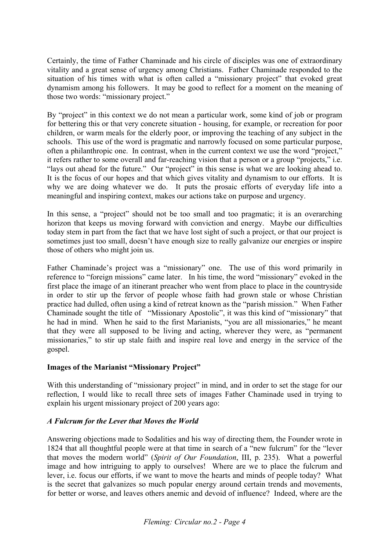Certainly, the time of Father Chaminade and his circle of disciples was one of extraordinary vitality and a great sense of urgency among Christians. Father Chaminade responded to the situation of his times with what is often called a "missionary project" that evoked great dynamism among his followers. It may be good to reflect for a moment on the meaning of those two words: "missionary project."

By "project" in this context we do not mean a particular work, some kind of job or program for bettering this or that very concrete situation - housing, for example, or recreation for poor children, or warm meals for the elderly poor, or improving the teaching of any subject in the schools. This use of the word is pragmatic and narrowly focused on some particular purpose, often a philanthropic one. In contrast, when in the current context we use the word "project," it refers rather to some overall and far-reaching vision that a person or a group "projects," i.e. "lays out ahead for the future." Our "project" in this sense is what we are looking ahead to. It is the focus of our hopes and that which gives vitality and dynamism to our efforts. It is why we are doing whatever we do. It puts the prosaic efforts of everyday life into a meaningful and inspiring context, makes our actions take on purpose and urgency.

In this sense, a "project" should not be too small and too pragmatic; it is an overarching horizon that keeps us moving forward with conviction and energy. Maybe our difficulties today stem in part from the fact that we have lost sight of such a project, or that our project is sometimes just too small, doesn't have enough size to really galvanize our energies or inspire those of others who might join us.

Father Chaminade's project was a "missionary" one. The use of this word primarily in reference to "foreign missions" came later. In his time, the word "missionary" evoked in the first place the image of an itinerant preacher who went from place to place in the countryside in order to stir up the fervor of people whose faith had grown stale or whose Christian practice had dulled, often using a kind of retreat known as the "parish mission." When Father Chaminade sought the title of "Missionary Apostolic", it was this kind of "missionary" that he had in mind. When he said to the first Marianists, "you are all missionaries," he meant that they were all supposed to be living and acting, wherever they were, as "permanent missionaries," to stir up stale faith and inspire real love and energy in the service of the gospel.

#### **Images of the Marianist "Missionary Project"**

With this understanding of "missionary project" in mind, and in order to set the stage for our reflection, I would like to recall three sets of images Father Chaminade used in trying to explain his urgent missionary project of 200 years ago:

#### *A Fulcrum for the Lever that Moves the World*

Answering objections made to Sodalities and his way of directing them, the Founder wrote in 1824 that all thoughtful people were at that time in search of a "new fulcrum" for the "lever that moves the modern world" (*Spirit of Our Foundation*, III, p. 235). What a powerful image and how intriguing to apply to ourselves! Where are we to place the fulcrum and lever, i.e. focus our efforts, if we want to move the hearts and minds of people today? What is the secret that galvanizes so much popular energy around certain trends and movements, for better or worse, and leaves others anemic and devoid of influence? Indeed, where are the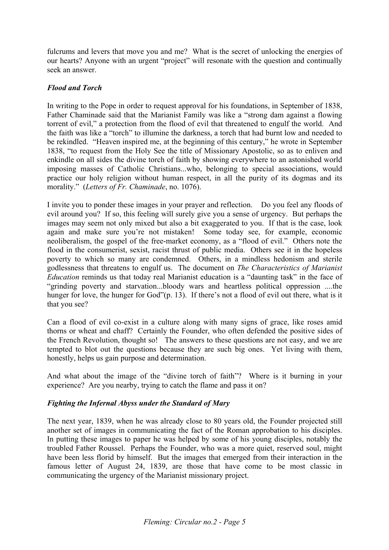fulcrums and levers that move you and me? What is the secret of unlocking the energies of our hearts? Anyone with an urgent "project" will resonate with the question and continually seek an answer.

#### *Flood and Torch*

In writing to the Pope in order to request approval for his foundations, in September of 1838, Father Chaminade said that the Marianist Family was like a "strong dam against a flowing torrent of evil," a protection from the flood of evil that threatened to engulf the world. And the faith was like a "torch" to illumine the darkness, a torch that had burnt low and needed to be rekindled. "Heaven inspired me, at the beginning of this century," he wrote in September 1838, "to request from the Holy See the title of Missionary Apostolic, so as to enliven and enkindle on all sides the divine torch of faith by showing everywhere to an astonished world imposing masses of Catholic Christians...who, belonging to special associations, would practice our holy religion without human respect, in all the purity of its dogmas and its morality." (*Letters of Fr. Chaminade*, no. 1076).

I invite you to ponder these images in your prayer and reflection. Do you feel any floods of evil around you? If so, this feeling will surely give you a sense of urgency. But perhaps the images may seem not only mixed but also a bit exaggerated to you. If that is the case, look again and make sure you're not mistaken! Some today see, for example, economic neoliberalism, the gospel of the free-market economy, as a "flood of evil." Others note the flood in the consumerist, sexist, racist thrust of public media. Others see it in the hopeless poverty to which so many are condemned. Others, in a mindless hedonism and sterile godlessness that threatens to engulf us. The document on *The Characteristics of Marianist Education* reminds us that today real Marianist education is a "daunting task" in the face of "grinding poverty and starvation...bloody wars and heartless political oppression ....the hunger for love, the hunger for God"(p. 13). If there's not a flood of evil out there, what is it that you see?

Can a flood of evil co-exist in a culture along with many signs of grace, like roses amid thorns or wheat and chaff? Certainly the Founder, who often defended the positive sides of the French Revolution, thought so! The answers to these questions are not easy, and we are tempted to blot out the questions because they are such big ones. Yet living with them, honestly, helps us gain purpose and determination.

And what about the image of the "divine torch of faith"? Where is it burning in your experience? Are you nearby, trying to catch the flame and pass it on?

#### *Fighting the Infernal Abyss under the Standard of Mary*

The next year, 1839, when he was already close to 80 years old, the Founder projected still another set of images in communicating the fact of the Roman approbation to his disciples. In putting these images to paper he was helped by some of his young disciples, notably the troubled Father Roussel. Perhaps the Founder, who was a more quiet, reserved soul, might have been less florid by himself. But the images that emerged from their interaction in the famous letter of August 24, 1839, are those that have come to be most classic in communicating the urgency of the Marianist missionary project.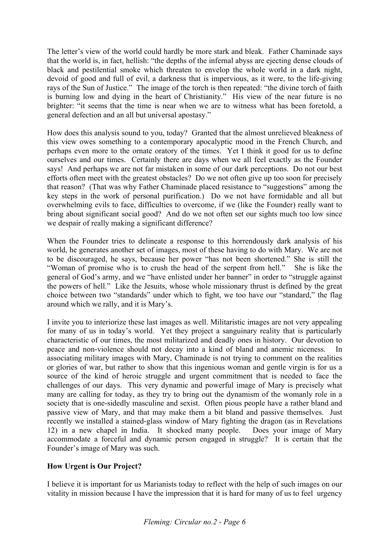The letter's view of the world could hardly be more stark and bleak. Father Chaminade says that the world is, in fact, hellish: "the depths of the infernal abyss are ejecting dense clouds of black and pestilential smoke which threaten to envelop the whole world in a dark night, devoid of good and full of evil, a darkness that is impervious, as it were, to the life-giving rays of the Sun of Justice." The image of the torch is then repeated: "the divine torch of faith is burning low and dying in the heart of Christianity." His view of the near future is no brighter: "it seems that the time is near when we are to witness what has been foretold, a general defection and an all but universal apostasy."

How does this analysis sound to you, today? Granted that the almost unrelieved bleakness of this view owes something to a contemporary apocalyptic mood in the French Church, and perhaps even more to the ornate oratory of the times. Yet I think it good for us to define ourselves and our times. Certainly there are days when we all feel exactly as the Founder says! And perhaps we are not far mistaken in some of our dark perceptions. Do not our best efforts often meet with the greatest obstacles? Do we not often give up too soon for precisely that reason? (That was why Father Chaminade placed resistance to "suggestions" among the key steps in the work of personal purification.) Do we not have formidable and all but overwhelming evils to face, difficulties to overcome, if we (like the Founder) really want to bring about significant social good? And do we not often set our sights much too low since we despair of really making a significant difference?

When the Founder tries to delineate a response to this horrendously dark analysis of his world, he generates another set of images, most of these having to do with Mary. We are not to be discouraged, he says, because her power "has not been shortened." She is still the "Woman of promise who is to crush the head of the serpent from hell." She is like the general of God's army, and we "have enlisted under her banner" in order to "struggle against the powers of hell." Like the Jesuits, whose whole missionary thrust is defined by the great choice between two "standards" under which to fight, we too have our "standard," the flag around which we rally, and it is Mary's.

I invite you to interiorize these last images as well. Militaristic images are not very appealing for many of us in today's world. Yet they project a sanguinary reality that is particularly characteristic of our times, the most militarized and deadly ones in history. Our devotion to peace and non-violence should not decay into a kind of bland and anemic niceness. In associating military images with Mary, Chaminade is not trying to comment on the realities or glories of war, but rather to show that this ingenious woman and gentle virgin is for us a source of the kind of heroic struggle and urgent commitment that is needed to face the challenges of our days. This very dynamic and powerful image of Mary is precisely what many are calling for today, as they try to bring out the dynamism of the womanly role in a society that is one-sidedly masculine and sexist. Often pious people have a rather bland and passive view of Mary, and that may make them a bit bland and passive themselves. Just recently we installed a stained-glass window of Mary fighting the dragon (as in Revelations 12) in a new chapel in India. It shocked many people. Does your image of Mary accommodate a forceful and dynamic person engaged in struggle? It is certain that the Founder's image of Mary was such.

#### **How Urgent is Our Project?**

I believe it is important for us Marianists today to reflect with the help of such images on our vitality in mission because I have the impression that it is hard for many of us to feel urgency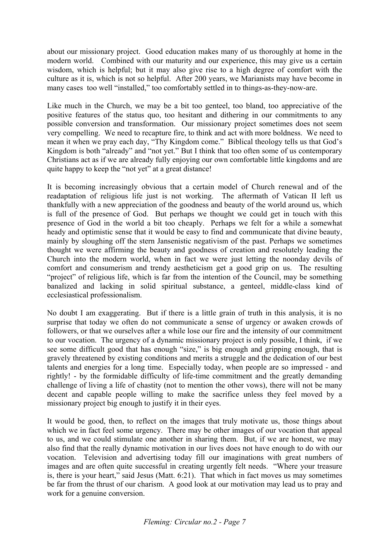about our missionary project. Good education makes many of us thoroughly at home in the modern world. Combined with our maturity and our experience, this may give us a certain wisdom, which is helpful; but it may also give rise to a high degree of comfort with the culture as it is, which is not so helpful. After 200 years, we Marianists may have become in many cases too well "installed," too comfortably settled in to things-as-they-now-are.

Like much in the Church, we may be a bit too genteel, too bland, too appreciative of the positive features of the status quo, too hesitant and dithering in our commitments to any possible conversion and transformation. Our missionary project sometimes does not seem very compelling. We need to recapture fire, to think and act with more boldness. We need to mean it when we pray each day, "Thy Kingdom come." Biblical theology tells us that God's Kingdom is both "already" and "not yet." But I think that too often some of us contemporary Christians act as if we are already fully enjoying our own comfortable little kingdoms and are quite happy to keep the "not yet" at a great distance!

It is becoming increasingly obvious that a certain model of Church renewal and of the readaptation of religious life just is not working. The aftermath of Vatican II left us thankfully with a new appreciation of the goodness and beauty of the world around us, which is full of the presence of God. But perhaps we thought we could get in touch with this presence of God in the world a bit too cheaply. Perhaps we felt for a while a somewhat heady and optimistic sense that it would be easy to find and communicate that divine beauty, mainly by sloughing off the stern Jansenistic negativism of the past. Perhaps we sometimes thought we were affirming the beauty and goodness of creation and resolutely leading the Church into the modern world, when in fact we were just letting the noonday devils of comfort and consumerism and trendy aestheticism get a good grip on us. The resulting "project" of religious life, which is far from the intention of the Council, may be something banalized and lacking in solid spiritual substance, a genteel, middle-class kind of ecclesiastical professionalism.

No doubt I am exaggerating. But if there is a little grain of truth in this analysis, it is no surprise that today we often do not communicate a sense of urgency or awaken crowds of followers, or that we ourselves after a while lose our fire and the intensity of our commitment to our vocation. The urgency of a dynamic missionary project is only possible, I think, if we see some difficult good that has enough "size," is big enough and gripping enough, that is gravely threatened by existing conditions and merits a struggle and the dedication of our best talents and energies for a long time. Especially today, when people are so impressed - and rightly! - by the formidable difficulty of life-time commitment and the greatly demanding challenge of living a life of chastity (not to mention the other vows), there will not be many decent and capable people willing to make the sacrifice unless they feel moved by a missionary project big enough to justify it in their eyes.

It would be good, then, to reflect on the images that truly motivate us, those things about which we in fact feel some urgency. There may be other images of our vocation that appeal to us, and we could stimulate one another in sharing them. But, if we are honest, we may also find that the really dynamic motivation in our lives does not have enough to do with our vocation. Television and advertising today fill our imaginations with great numbers of images and are often quite successful in creating urgently felt needs. "Where your treasure is, there is your heart," said Jesus (Matt. 6:21). That which in fact moves us may sometimes be far from the thrust of our charism. A good look at our motivation may lead us to pray and work for a genuine conversion.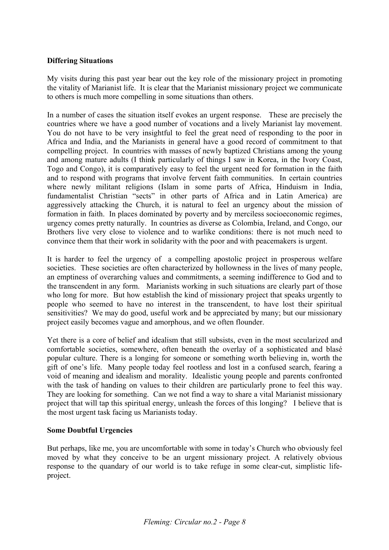#### **Differing Situations**

My visits during this past year bear out the key role of the missionary project in promoting the vitality of Marianist life. It is clear that the Marianist missionary project we communicate to others is much more compelling in some situations than others.

In a number of cases the situation itself evokes an urgent response. These are precisely the countries where we have a good number of vocations and a lively Marianist lay movement. You do not have to be very insightful to feel the great need of responding to the poor in Africa and India, and the Marianists in general have a good record of commitment to that compelling project. In countries with masses of newly baptized Christians among the young and among mature adults (I think particularly of things I saw in Korea, in the Ivory Coast, Togo and Congo), it is comparatively easy to feel the urgent need for formation in the faith and to respond with programs that involve fervent faith communities. In certain countries where newly militant religions (Islam in some parts of Africa, Hinduism in India, fundamentalist Christian "sects" in other parts of Africa and in Latin America) are aggressively attacking the Church, it is natural to feel an urgency about the mission of formation in faith. In places dominated by poverty and by merciless socioeconomic regimes, urgency comes pretty naturally. In countries as diverse as Colombia, Ireland, and Congo, our Brothers live very close to violence and to warlike conditions: there is not much need to convince them that their work in solidarity with the poor and with peacemakers is urgent.

It is harder to feel the urgency of a compelling apostolic project in prosperous welfare societies. These societies are often characterized by hollowness in the lives of many people, an emptiness of overarching values and commitments, a seeming indifference to God and to the transcendent in any form. Marianists working in such situations are clearly part of those who long for more. But how establish the kind of missionary project that speaks urgently to people who seemed to have no interest in the transcendent, to have lost their spiritual sensitivities? We may do good, useful work and be appreciated by many; but our missionary project easily becomes vague and amorphous, and we often flounder.

Yet there is a core of belief and idealism that still subsists, even in the most secularized and comfortable societies, somewhere, often beneath the overlay of a sophisticated and blasé popular culture. There is a longing for someone or something worth believing in, worth the gift of one's life. Many people today feel rootless and lost in a confused search, fearing a void of meaning and idealism and morality. Idealistic young people and parents confronted with the task of handing on values to their children are particularly prone to feel this way. They are looking for something. Can we not find a way to share a vital Marianist missionary project that will tap this spiritual energy, unleash the forces of this longing? I believe that is the most urgent task facing us Marianists today.

#### **Some Doubtful Urgencies**

But perhaps, like me, you are uncomfortable with some in today's Church who obviously feel moved by what they conceive to be an urgent missionary project. A relatively obvious response to the quandary of our world is to take refuge in some clear-cut, simplistic lifeproject.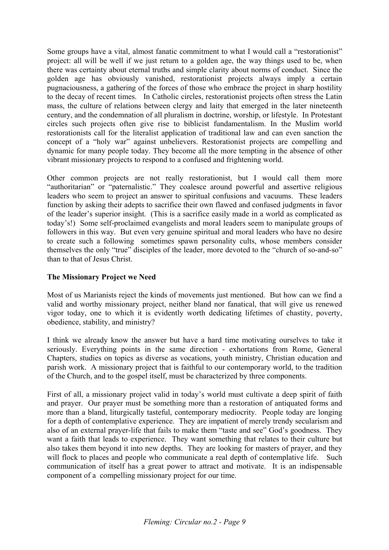Some groups have a vital, almost fanatic commitment to what I would call a "restorationist" project: all will be well if we just return to a golden age, the way things used to be, when there was certainty about eternal truths and simple clarity about norms of conduct. Since the golden age has obviously vanished, restorationist projects always imply a certain pugnaciousness, a gathering of the forces of those who embrace the project in sharp hostility to the decay of recent times. In Catholic circles, restorationist projects often stress the Latin mass, the culture of relations between clergy and laity that emerged in the later nineteenth century, and the condemnation of all pluralism in doctrine, worship, or lifestyle. In Protestant circles such projects often give rise to biblicist fundamentalism. In the Muslim world restorationists call for the literalist application of traditional law and can even sanction the concept of a "holy war" against unbelievers. Restorationist projects are compelling and dynamic for many people today. They become all the more tempting in the absence of other vibrant missionary projects to respond to a confused and frightening world.

Other common projects are not really restorationist, but I would call them more "authoritarian" or "paternalistic." They coalesce around powerful and assertive religious leaders who seem to project an answer to spiritual confusions and vacuums. These leaders function by asking their adepts to sacrifice their own flawed and confused judgments in favor of the leader's superior insight. (This is a sacrifice easily made in a world as complicated as today's!) Some self-proclaimed evangelists and moral leaders seem to manipulate groups of followers in this way. But even very genuine spiritual and moral leaders who have no desire to create such a following sometimes spawn personality cults, whose members consider themselves the only "true" disciples of the leader, more devoted to the "church of so-and-so" than to that of Jesus Christ.

#### **The Missionary Project we Need**

Most of us Marianists reject the kinds of movements just mentioned. But how can we find a valid and worthy missionary project, neither bland nor fanatical, that will give us renewed vigor today, one to which it is evidently worth dedicating lifetimes of chastity, poverty, obedience, stability, and ministry?

I think we already know the answer but have a hard time motivating ourselves to take it seriously. Everything points in the same direction - exhortations from Rome, General Chapters, studies on topics as diverse as vocations, youth ministry, Christian education and parish work. A missionary project that is faithful to our contemporary world, to the tradition of the Church, and to the gospel itself, must be characterized by three components.

First of all, a missionary project valid in today's world must cultivate a deep spirit of faith and prayer. Our prayer must be something more than a restoration of antiquated forms and more than a bland, liturgically tasteful, contemporary mediocrity. People today are longing for a depth of contemplative experience. They are impatient of merely trendy secularism and also of an external prayer-life that fails to make them "taste and see" God's goodness. They want a faith that leads to experience. They want something that relates to their culture but also takes them beyond it into new depths. They are looking for masters of prayer, and they will flock to places and people who communicate a real depth of contemplative life. Such communication of itself has a great power to attract and motivate. It is an indispensable component of a compelling missionary project for our time.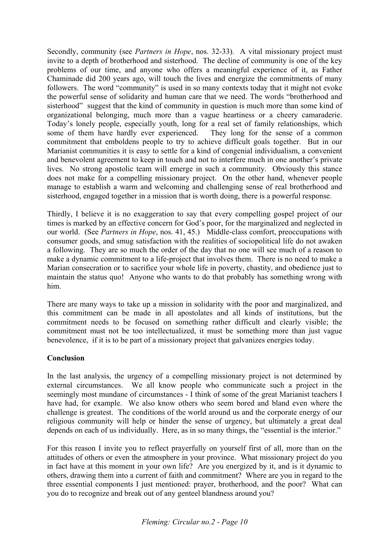Secondly, community (see *Partners in Hope*, nos. 32-33). A vital missionary project must invite to a depth of brotherhood and sisterhood. The decline of community is one of the key problems of our time, and anyone who offers a meaningful experience of it, as Father Chaminade did 200 years ago, will touch the lives and energize the commitments of many followers. The word "community" is used in so many contexts today that it might not evoke the powerful sense of solidarity and human care that we need. The words "brotherhood and sisterhood" suggest that the kind of community in question is much more than some kind of organizational belonging, much more than a vague heartiness or a cheery camaraderie. Today's lonely people, especially youth, long for a real set of family relationships, which some of them have hardly ever experienced. They long for the sense of a common commitment that emboldens people to try to achieve difficult goals together. But in our Marianist communities it is easy to settle for a kind of congenial individualism, a convenient and benevolent agreement to keep in touch and not to interfere much in one another's private lives. No strong apostolic team will emerge in such a community. Obviously this stance does not make for a compelling missionary project. On the other hand, whenever people manage to establish a warm and welcoming and challenging sense of real brotherhood and sisterhood, engaged together in a mission that is worth doing, there is a powerful response.

Thirdly, I believe it is no exaggeration to say that every compelling gospel project of our times is marked by an effective concern for God's poor, for the marginalized and neglected in our world. (See *Partners in Hope*, nos. 41, 45.) Middle-class comfort, preoccupations with consumer goods, and smug satisfaction with the realities of sociopolitical life do not awaken a following. They are so much the order of the day that no one will see much of a reason to make a dynamic commitment to a life-project that involves them. There is no need to make a Marian consecration or to sacrifice your whole life in poverty, chastity, and obedience just to maintain the status quo! Anyone who wants to do that probably has something wrong with him.

There are many ways to take up a mission in solidarity with the poor and marginalized, and this commitment can be made in all apostolates and all kinds of institutions, but the commitment needs to be focused on something rather difficult and clearly visible; the commitment must not be too intellectualized, it must be something more than just vague benevolence, if it is to be part of a missionary project that galvanizes energies today.

#### **Conclusion**

In the last analysis, the urgency of a compelling missionary project is not determined by external circumstances. We all know people who communicate such a project in the seemingly most mundane of circumstances - I think of some of the great Marianist teachers I have had, for example. We also know others who seem bored and bland even where the challenge is greatest. The conditions of the world around us and the corporate energy of our religious community will help or hinder the sense of urgency, but ultimately a great deal depends on each of us individually. Here, as in so many things, the "essential is the interior."

For this reason I invite you to reflect prayerfully on yourself first of all, more than on the attitudes of others or even the atmosphere in your province. What missionary project do you in fact have at this moment in your own life? Are you energized by it, and is it dynamic to others, drawing them into a current of faith and commitment? Where are you in regard to the three essential components I just mentioned: prayer, brotherhood, and the poor? What can you do to recognize and break out of any genteel blandness around you?